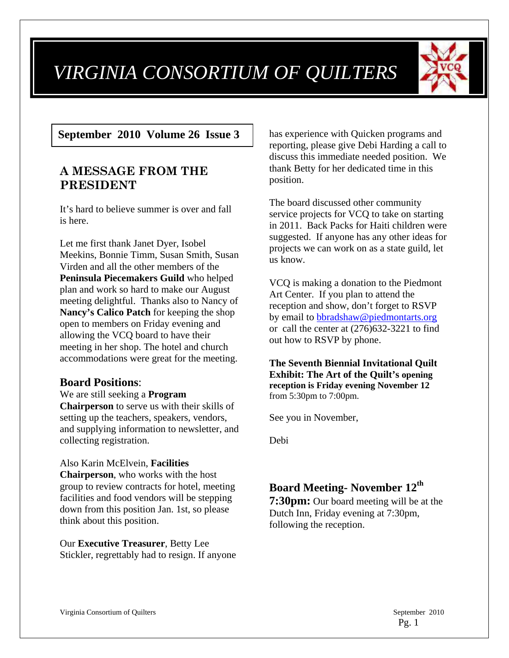# *VIRGINIA CONSORTIUM OF QUILTERS*



## **September 2010 Volume 26 Issue 3**

## **A MESSAGE FROM THE PRESIDENT**

It's hard to believe summer is over and fall is here.

Let me first thank Janet Dyer, Isobel Meekins, Bonnie Timm, Susan Smith, Susan Virden and all the other members of the **Peninsula Piecemakers Guild** who helped plan and work so hard to make our August meeting delightful. Thanks also to Nancy of **Nancy's Calico Patch** for keeping the shop open to members on Friday evening and allowing the VCQ board to have their meeting in her shop. The hotel and church accommodations were great for the meeting.

### **Board Positions**:

#### We are still seeking a **Program**

**Chairperson** to serve us with their skills of setting up the teachers, speakers, vendors, and supplying information to newsletter, and collecting registration.

#### Also Karin McElvein, **Facilities**

**Chairperson**, who works with the host group to review contracts for hotel, meeting facilities and food vendors will be stepping down from this position Jan. 1st, so please think about this position.

Our **Executive Treasurer**, Betty Lee Stickler, regrettably had to resign. If anyone has experience with Quicken programs and reporting, please give Debi Harding a call to discuss this immediate needed position. We thank Betty for her dedicated time in this position.

The board discussed other community service projects for VCQ to take on starting in 2011. Back Packs for Haiti children were suggested. If anyone has any other ideas for projects we can work on as a state guild, let us know.

VCQ is making a donation to the Piedmont Art Center. If you plan to attend the reception and show, don't forget to RSVP by email to bbradshaw@piedmontarts.org or call the center at (276)632-3221 to find out how to RSVP by phone.

**The Seventh Biennial Invitational Quilt Exhibit: The Art of the Quilt's opening reception is Friday evening November 12** from 5:30pm to 7:00pm.

See you in November,

Debi

## **Board Meeting- November 12th**

**7:30pm:** Our board meeting will be at the Dutch Inn, Friday evening at 7:30pm, following the reception.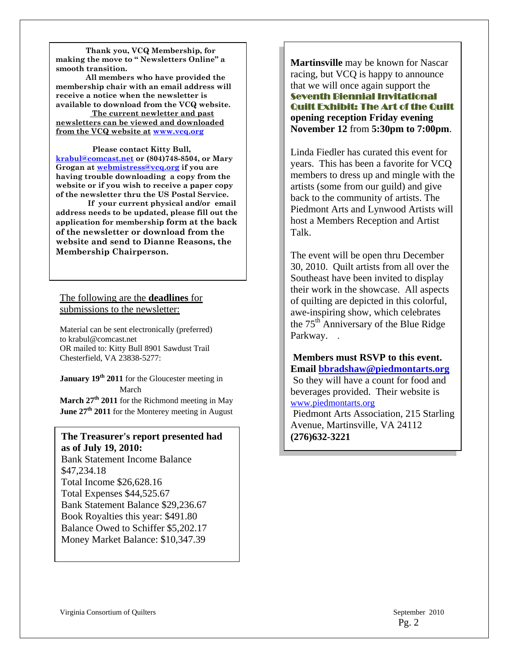**Thank you, VCQ Membership, for making the move to " Newsletters Online" a smooth transition.** 

**All members who have provided the membership chair with an email address will receive a notice when the newsletter is available to download from the VCQ website.** 

 **The current newletter and past newsletters can be viewed and downloaded from the VCQ website at www.vcq.org**

 **Please contact Kitty Bull, krabul@comcast.net or (804)748-8504, or Mary Grogan at webmistress@vcq.org if you are having trouble downloading a copy from the website or if you wish to receive a paper copy of the newsletter thru the US Postal Service.** 

 **If your current physical and/or email address needs to be updated, please fill out the application for membership form at the back of the newsletter or download from the website and send to Dianne Reasons, the Membership Chairperson.** 

#### The following are the **deadlines** for submissions to the newsletter:

Material can be sent electronically (preferred) to krabul@comcast.net OR mailed to: Kitty Bull 8901 Sawdust Trail Chesterfield, VA 23838-5277:

**January 19th 2011** for the Gloucester meeting in March

**March 27th 2011** for the Richmond meeting in May **June 27th 2011** for the Monterey meeting in August

#### **The Treasurer's report presented had as of July 19, 2010:**

Bank Statement Income Balance \$47,234.18 Total Income \$26,628.16 Total Expenses \$44,525.67 Bank Statement Balance \$29,236.67 Book Royalties this year: \$491.80 Balance Owed to Schiffer \$5,202.17 Money Market Balance: \$10,347.39

**Martinsville** may be known for Nascar racing, but VCQ is happy to announce that we will once again support the Seventh Biennial Invitational Quilt Exhibit: The Art of the Quilt **opening reception Friday evening November 12** from **5:30pm to 7:00pm**.

Linda Fiedler has curated this event for years. This has been a favorite for VCQ members to dress up and mingle with the artists (some from our guild) and give back to the community of artists. The Piedmont Arts and Lynwood Artists will host a Members Reception and Artist Talk.

The event will be open thru December 30, 2010. Quilt artists from all over the Southeast have been invited to display their work in the showcase. All aspects of quilting are depicted in this colorful, awe-inspiring show, which celebrates the  $75<sup>th</sup>$  Anniversary of the Blue Ridge Parkway. .

**Members must RSVP to this event. Email bbradshaw@piedmontarts.org** So they will have a count for food and beverages provided. Their website is www.piedmontarts.org

 Piedmont Arts Association, 215 Starling Avenue, Martinsville, VA 24112 **(276)632-3221**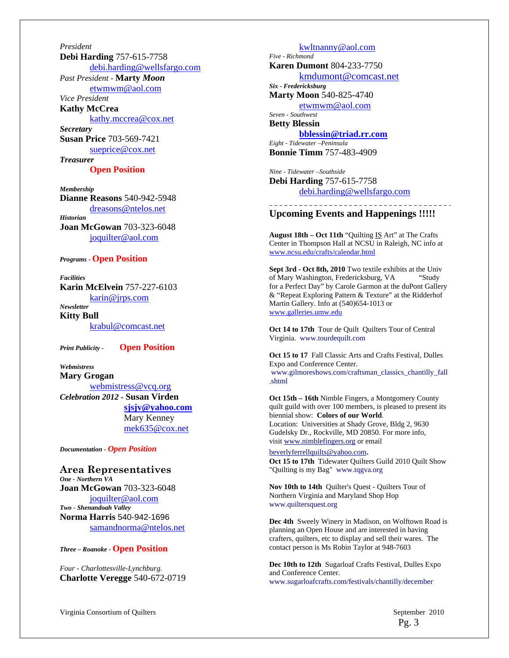*President*  **Debi Harding** 757-615-7758 debi.harding@wellsfargo.com *Past President -* **Marty** *Moon* etwmwm@aol.com *Vice President*  **Kathy McCrea**  kathy.mccrea@cox.net *Secretary*  **Susan Price** 703-569-7421 sueprice@cox.net *Treasurer* 

**Open Position** 

*Membership*  **Dianne Reasons** 540-942-5948 dreasons@ntelos.net *Historian*  **Joan McGowan** 703-323-6048 joquilter@aol.com

*Programs -* **Open Position** 

*Facilities*  **Karin McElvein** 757-227-6103 karin@jrps.com *Newsletter*  **Kitty Bull**  krabul@comcast.net

*Print Publicity -* **Open Position** 

*Webmistress*  **Mary Grogan** 

webmistress@vcq.org *Celebration 2012 -* **Susan Virden sjsjv@yahoo.com** Mary Kenney mek635@cox.net

*Documentation - Open Position* 

#### **Area Representatives**  *One - Northern VA*  **Joan McGowan** 703-323-6048 joquilter@aol.com *Two - Shenandoah Valley* **Norma Harris** 540-942-1696 samandnorma@ntelos.net

*Three – Roanoke -* **Open Position** 

*Four - Charlottesville-Lynchburg.*  **Charlotte Veregge** 540-672-0719

kwltnanny@aol.com *Five - Richmond*  **Karen Dumont** 804-233-7750 kmdumont@comcast.net *Six - Fredericksburg*  **Marty Moon** 540-825-4740 etwmwm@aol.com *Seven - Southwest*  **Betty Blessin bblessin@triad.rr.com** *Eight - Tidewater –Peninsula*  **Bonnie Timm** 757-483-4909

*Nine - Tidewater –Southside*  **Debi Harding** 757-615-7758 debi.harding@wellsfargo.com

#### **Upcoming Events and Happenings !!!!!**

---------------------------------

**August 18th – Oct 11th** "Quilting IS Art" at The Crafts Center in Thompson Hall at NCSU in Raleigh, NC info at www.ncsu.edu/crafts/calendar.html

**Sept 3rd - Oct 8th, 2010** Two textile exhibits at the Univ of Mary Washington, Fredericksburg, VA "Study for a Perfect Day" by Carole Garmon at the duPont Gallery & "Repeat Exploring Pattern & Texture" at the Ridderhof Martin Gallery. Info at (540)654-1013 or www.galleries.umw.edu

Oct 14 to 17th Tour de Quilt Quilters Tour of Central Virginia. www.tourdequilt.com

**Oct 15 to 17** Fall Classic Arts and Crafts Festival, Dulles Expo and Conference Center. www.gilmoreshows.com/craftsman\_classics\_chantilly\_fall .shtml

**Oct 15th – 16th** Nimble Fingers, a Montgomery County quilt guild with over 100 members, is pleased to present its biennial show: **Colors of our World**. Location: Universities at Shady Grove, Bldg 2, 9630 Gudelsky Dr., Rockville, MD 20850. For more info, visit www.nimblefingers.org or email

beverlyferrellquilts@yahoo.com. **Oct 15 to 17th** Tidewater Quilters Guild 2010 Quilt Show "Quilting is my Bag" www.tqgva.org

**Nov 10th to 14th** Quilter's Quest - Quilters Tour of Northern Virginia and Maryland Shop Hop www.quiltersquest.org

**Dec 4th** Sweely Winery in Madison, on Wolftown Road is planning an Open House and are interested in having crafters, quilters, etc to display and sell their wares. The contact person is Ms Robin Taylor at 948-7603

**Dec 10th to 12th** Sugarloaf Crafts Festival, Dulles Expo and Conference Center. www.sugarloafcrafts.com/festivals/chantilly/december

Virginia Consortium of Quilters  $\blacksquare$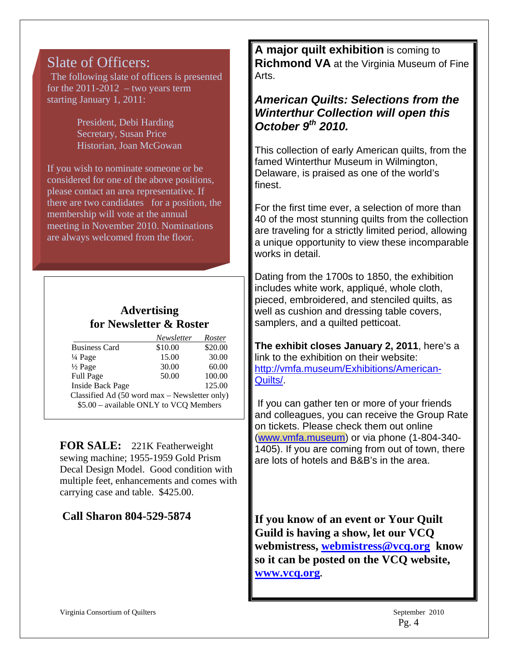## Slate of Officers:

The following slate of officers is presented for the  $2011-2012$  – two years term starting January 1, 2011:

> President, Debi Harding Secretary, Susan Price Historian, Joan McGowan

If you wish to nominate someone or be considered for one of the above positions, please contact an area representative. If there are two candidates for a position, the membership will vote at the annual meeting in November 2010. Nominations are always welcomed from the floor.

## **Advertising for Newsletter & Roster**

|                                               | Newsletter | <b>Roster</b> |  |  |
|-----------------------------------------------|------------|---------------|--|--|
| <b>Business Card</b>                          | \$10.00    | \$20.00       |  |  |
| $\frac{1}{4}$ Page                            | 15.00      | 30.00         |  |  |
| $\frac{1}{2}$ Page                            | 30.00      | 60.00         |  |  |
| <b>Full Page</b>                              | 50.00      | 100.00        |  |  |
| <b>Inside Back Page</b>                       |            | 125.00        |  |  |
| Classified Ad (50 word max - Newsletter only) |            |               |  |  |
| \$5.00 - available ONLY to VCQ Members        |            |               |  |  |

**FOR SALE:** 221K Featherweight sewing machine; 1955-1959 Gold Prism Decal Design Model. Good condition with multiple feet, enhancements and comes with carrying case and table. \$425.00.

## **Call Sharon 804-529-5874**

**A major quilt exhibition** is coming to **Richmond VA** at the Virginia Museum of Fine Arts.

## *American Quilts: Selections from the Winterthur Collection will open this October 9th 2010.*

This collection of early American quilts, from the famed Winterthur Museum in Wilmington, Delaware, is praised as one of the world's finest.

For the first time ever, a selection of more than 40 of the most stunning quilts from the collection are traveling for a strictly limited period, allowing a unique opportunity to view these incomparable works in detail.

Dating from the 1700s to 1850, the exhibition includes white work, appliqué, whole cloth, pieced, embroidered, and stenciled quilts, as well as cushion and dressing table covers, samplers, and a quilted petticoat.

**The exhibit closes January 2, 2011**, here's a link to the exhibition on their website: http://vmfa.museum/Exhibitions/American-Quilts/.

If you can gather ten or more of your friends and colleagues, you can receive the Group Rate on tickets. Please check them out online (www.vmfa.museum) or via phone (1-804-340- 1405). If you are coming from out of town, there are lots of hotels and B&B's in the area.

**If you know of an event or Your Quilt Guild is having a show, let our VCQ webmistress, webmistress@vcq.org know so it can be posted on the VCQ website, www.vcq.org.**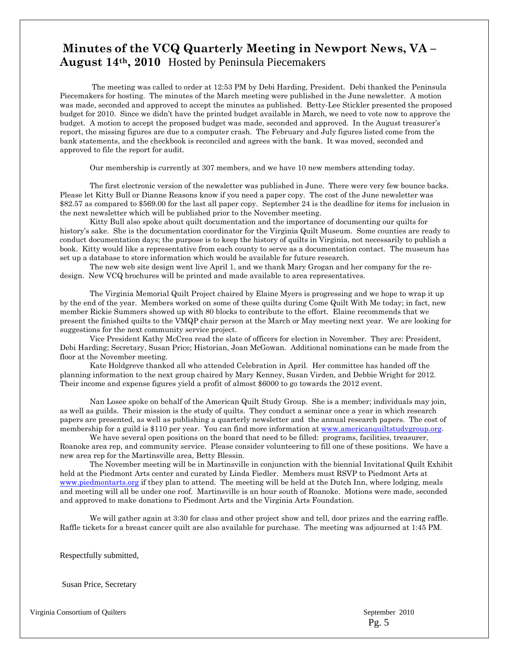## **Minutes of the VCQ Quarterly Meeting in Newport News, VA – August 14th, 2010** Hosted by Peninsula Piecemakers

 The meeting was called to order at 12:53 PM by Debi Harding, President. Debi thanked the Peninsula Piecemakers for hosting. The minutes of the March meeting were published in the June newsletter. A motion was made, seconded and approved to accept the minutes as published. Betty-Lee Stickler presented the proposed budget for 2010. Since we didn't have the printed budget available in March, we need to vote now to approve the budget. A motion to accept the proposed budget was made, seconded and approved. In the August treasurer's report, the missing figures are due to a computer crash. The February and July figures listed come from the bank statements, and the checkbook is reconciled and agrees with the bank. It was moved, seconded and approved to file the report for audit.

Our membership is currently at 307 members, and we have 10 new members attending today.

 The first electronic version of the newsletter was published in June. There were very few bounce backs. Please let Kitty Bull or Dianne Reasons know if you need a paper copy. The cost of the June newsletter was \$82.57 as compared to \$569.00 for the last all paper copy. September 24 is the deadline for items for inclusion in the next newsletter which will be published prior to the November meeting.

 Kitty Bull also spoke about quilt documentation and the importance of documenting our quilts for history's sake. She is the documentation coordinator for the Virginia Quilt Museum. Some counties are ready to conduct documentation days; the purpose is to keep the history of quilts in Virginia, not necessarily to publish a book. Kitty would like a representative from each county to serve as a documentation contact. The museum has set up a database to store information which would be available for future research.

 The new web site design went live April 1, and we thank Mary Grogan and her company for the redesign. New VCQ brochures will be printed and made available to area representatives.

 The Virginia Memorial Quilt Project chaired by Elaine Myers is progressing and we hope to wrap it up by the end of the year. Members worked on some of these quilts during Come Quilt With Me today; in fact, new member Rickie Summers showed up with 80 blocks to contribute to the effort. Elaine recommends that we present the finished quilts to the VMQP chair person at the March or May meeting next year. We are looking for suggestions for the next community service project.

Vice President Kathy McCrea read the slate of officers for election in November. They are: President, Debi Harding; Secretary, Susan Price; Historian, Joan McGowan. Additional nominations can be made from the floor at the November meeting.

Kate Holdgreve thanked all who attended Celebration in April. Her committee has handed off the planning information to the next group chaired by Mary Kenney, Susan Virden, and Debbie Wright for 2012. Their income and expense figures yield a profit of almost \$6000 to go towards the 2012 event.

Nan Losee spoke on behalf of the American Quilt Study Group. She is a member; individuals may join, as well as guilds. Their mission is the study of quilts. They conduct a seminar once a year in which research papers are presented, as well as publishing a quarterly newsletter and the annual research papers. The cost of membership for a guild is \$110 per year. You can find more information at www.americanquiltstudygroup.org.

We have several open positions on the board that need to be filled: programs, facilities, treasurer, Roanoke area rep, and community service. Please consider volunteering to fill one of these positions. We have a new area rep for the Martinsville area, Betty Blessin.

 The November meeting will be in Martinsville in conjunction with the biennial Invitational Quilt Exhibit held at the Piedmont Arts center and curated by Linda Fiedler. Members must RSVP to Piedmont Arts at www.piedmontarts.org if they plan to attend. The meeting will be held at the Dutch Inn, where lodging, meals and meeting will all be under one roof. Martinsville is an hour south of Roanoke. Motions were made, seconded and approved to make donations to Piedmont Arts and the Virginia Arts Foundation.

We will gather again at 3:30 for class and other project show and tell, door prizes and the earring raffle. Raffle tickets for a breast cancer quilt are also available for purchase. The meeting was adjourned at 1:45 PM.

Respectfully submitted,

Susan Price, Secretary

Virginia Consortium of Quilters  $\blacksquare$ 

 $\overline{\phantom{a}}$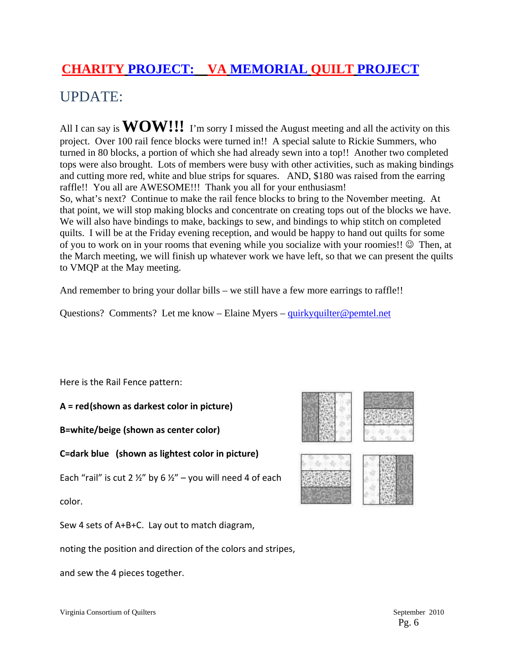## **CHARITY PROJECT: VA MEMORIAL QUILT PROJECT**

## UPDATE:

All I can say is **WOW!!!** I'm sorry I missed the August meeting and all the activity on this project. Over 100 rail fence blocks were turned in!! A special salute to Rickie Summers, who turned in 80 blocks, a portion of which she had already sewn into a top!! Another two completed tops were also brought. Lots of members were busy with other activities, such as making bindings and cutting more red, white and blue strips for squares. AND, \$180 was raised from the earring raffle!! You all are AWESOME!!! Thank you all for your enthusiasm! So, what's next? Continue to make the rail fence blocks to bring to the November meeting. At that point, we will stop making blocks and concentrate on creating tops out of the blocks we have. We will also have bindings to make, backings to sew, and bindings to whip stitch on completed quilts. I will be at the Friday evening reception, and would be happy to hand out quilts for some of you to work on in your rooms that evening while you socialize with your roomies!!  $\odot$  Then, at the March meeting, we will finish up whatever work we have left, so that we can present the quilts to VMQP at the May meeting.

And remember to bring your dollar bills – we still have a few more earrings to raffle!!

Questions? Comments? Let me know – Elaine Myers – quirkyquilter@pemtel.net

Here is the Rail Fence pattern:

**A = red(shown as darkest color in picture)** 

**B=white/beige (shown as center color)** 

**C=dark blue (shown as lightest color in picture)** 

Each "rail" is cut 2  $\frac{1}{2}$ " by 6  $\frac{1}{2}$ " – you will need 4 of each

color.

Sew 4 sets of A+B+C. Lay out to match diagram,

noting the position and direction of the colors and stripes,

and sew the 4 pieces together.

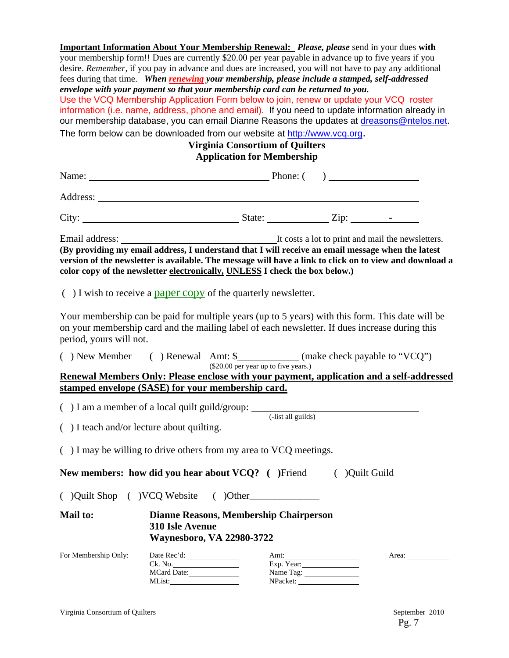**Important Information About Your Membership Renewal:** *Please, please* send in your dues **with** your membership form!! Dues are currently \$20.00 per year payable in advance up to five years if you desire. *Remember*, if you pay in advance and dues are increased, you will not have to pay any additional fees during that time. *When renewing your membership, please include a stamped, self-addressed envelope with your payment so that your membership card can be returned to you.*  Use the VCQ Membership Application Form below to join, renew or update your VCQ roster information (i.e. name, address, phone and email). If you need to update information already in our membership database, you can email Dianne Reasons the updates at dreasons@ntelos.net. The form below can be downloaded from our website at http://www.vcq.org. **Virginia Consortium of Quilters Application for Membership** 

|                         | Name: $\qquad \qquad$ Phone: $\qquad \qquad$ Phone: $\qquad \qquad$                                                                                                                                                                                                                         |                                        |                                 |  |                                                          |
|-------------------------|---------------------------------------------------------------------------------------------------------------------------------------------------------------------------------------------------------------------------------------------------------------------------------------------|----------------------------------------|---------------------------------|--|----------------------------------------------------------|
|                         |                                                                                                                                                                                                                                                                                             |                                        |                                 |  |                                                          |
|                         | City: $\frac{1}{\sqrt{2}}$ State: $\frac{1}{\sqrt{2}}$ Zip: $\frac{1}{\sqrt{2}}$                                                                                                                                                                                                            |                                        |                                 |  |                                                          |
|                         | (By providing my email address, I understand that I will receive an email message when the latest<br>version of the newsletter is available. The message will have a link to click on to view and download a<br>color copy of the newsletter electronically, UNLESS I check the box below.) |                                        |                                 |  |                                                          |
|                         | $( )$ I wish to receive a paper copy of the quarterly newsletter.                                                                                                                                                                                                                           |                                        |                                 |  |                                                          |
| period, yours will not. | Your membership can be paid for multiple years (up to 5 years) with this form. This date will be<br>on your membership card and the mailing label of each newsletter. If dues increase during this                                                                                          |                                        |                                 |  |                                                          |
|                         | () New Member () Renewal Amt: \$____________(make check payable to "VCQ")                                                                                                                                                                                                                   |                                        |                                 |  |                                                          |
|                         | Renewal Members Only: Please enclose with your payment, application and a self-addressed                                                                                                                                                                                                    | $(\$20.00$ per year up to five years.) |                                 |  |                                                          |
|                         | stamped envelope (SASE) for your membership card.                                                                                                                                                                                                                                           |                                        |                                 |  |                                                          |
|                         | ( $\int$ ) I am a member of a local quilt guild/group: $\frac{1}{\text{dist all guides}}$<br>$( )$ I teach and/or lecture about quilting.                                                                                                                                                   |                                        |                                 |  |                                                          |
|                         | () I may be willing to drive others from my area to VCQ meetings.                                                                                                                                                                                                                           |                                        |                                 |  |                                                          |
|                         | New members: how did you hear about VCQ? ( )Friend ( )Quilt Guild                                                                                                                                                                                                                           |                                        |                                 |  |                                                          |
|                         | () Quilt Shop () VCQ Website () Other                                                                                                                                                                                                                                                       |                                        |                                 |  |                                                          |
| <b>Mail to:</b>         | Dianne Reasons, Membership Chairperson<br>310 Isle Avenue<br><b>Waynesboro, VA 22980-3722</b>                                                                                                                                                                                               |                                        |                                 |  |                                                          |
| For Membership Only:    | Ck. No.<br>MCard Date:<br>MList:                                                                                                                                                                                                                                                            | NPacket:                               | Amt:<br>Exp. Year:<br>Name Tag: |  | Area: $\frac{1}{\sqrt{1-\frac{1}{2}} \cdot \frac{1}{2}}$ |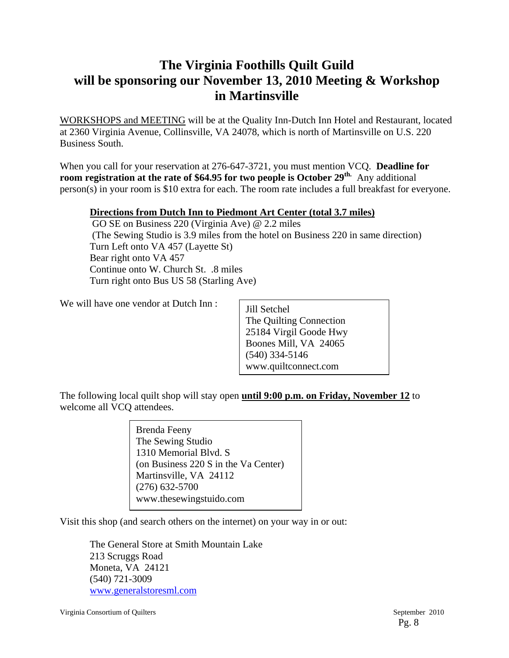## **The Virginia Foothills Quilt Guild will be sponsoring our November 13, 2010 Meeting & Workshop in Martinsville**

WORKSHOPS and MEETING will be at the Quality Inn-Dutch Inn Hotel and Restaurant, located at 2360 Virginia Avenue, Collinsville, VA 24078, which is north of Martinsville on U.S. 220 Business South.

When you call for your reservation at 276-647-3721, you must mention VCQ. **Deadline for room registration at the rate of \$64.95 for two people is October 29th.** Any additional person(s) in your room is \$10 extra for each. The room rate includes a full breakfast for everyone.

#### **Directions from Dutch Inn to Piedmont Art Center (total 3.7 miles)**

 GO SE on Business 220 (Virginia Ave) @ 2.2 miles (The Sewing Studio is 3.9 miles from the hotel on Business 220 in same direction) Turn Left onto VA 457 (Layette St) Bear right onto VA 457 Continue onto W. Church St. .8 miles Turn right onto Bus US 58 (Starling Ave)

We will have one vendor at Dutch Inn :

Jill Setchel The Quilting Connection 25184 Virgil Goode Hwy Boones Mill, VA 24065 (540) 334-5146 www.quiltconnect.com

The following local quilt shop will stay open **until 9:00 p.m. on Friday, November 12** to welcome all VCQ attendees.

> Brenda Feeny The Sewing Studio 1310 Memorial Blvd. S (on Business 220 S in the Va Center) Martinsville, VA 24112 (276) 632-5700 www.thesewingstuido.com

Visit this shop (and search others on the internet) on your way in or out:

 The General Store at Smith Mountain Lake 213 Scruggs Road Moneta, VA 24121 (540) 721-3009 www.generalstoresml.com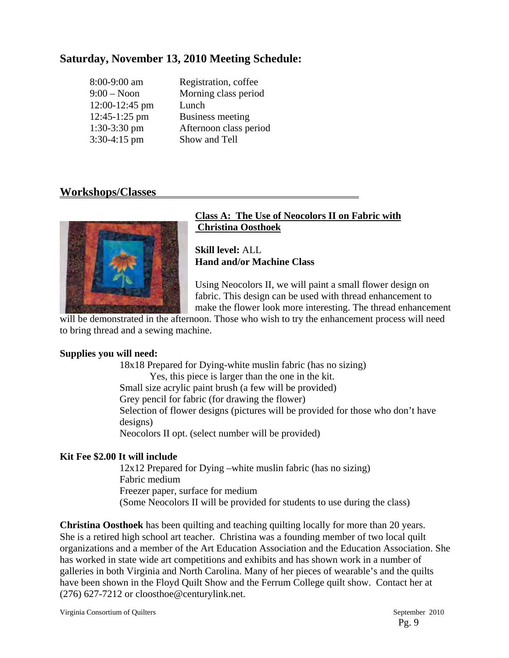## **Saturday, November 13, 2010 Meeting Schedule:**

| 8:00-9:00 am   | Registration, coffee    |
|----------------|-------------------------|
| $9:00 - N$ oon | Morning class period    |
| 12:00-12:45 pm | Lunch                   |
| 12:45-1:25 pm  | <b>Business meeting</b> |
| $1:30-3:30$ pm | Afternoon class period  |
| $3:30-4:15$ pm | Show and Tell           |

## **Workshops/Classes**



### **Class A: The Use of Neocolors II on Fabric with Christina Oosthoek**

**Skill level:** ALL **Hand and/or Machine Class** 

Using Neocolors II, we will paint a small flower design on fabric. This design can be used with thread enhancement to make the flower look more interesting. The thread enhancement

will be demonstrated in the afternoon. Those who wish to try the enhancement process will need to bring thread and a sewing machine.

### **Supplies you will need:**

18x18 Prepared for Dying-white muslin fabric (has no sizing) Yes, this piece is larger than the one in the kit. Small size acrylic paint brush (a few will be provided) Grey pencil for fabric (for drawing the flower) Selection of flower designs (pictures will be provided for those who don't have designs) Neocolors II opt. (select number will be provided)

## **Kit Fee \$2.00 It will include**

12x12 Prepared for Dying –white muslin fabric (has no sizing) Fabric medium Freezer paper, surface for medium (Some Neocolors II will be provided for students to use during the class)

**Christina Oosthoek** has been quilting and teaching quilting locally for more than 20 years. She is a retired high school art teacher. Christina was a founding member of two local quilt organizations and a member of the Art Education Association and the Education Association. She has worked in state wide art competitions and exhibits and has shown work in a number of galleries in both Virginia and North Carolina. Many of her pieces of wearable's and the quilts have been shown in the Floyd Quilt Show and the Ferrum College quilt show. Contact her at (276) 627-7212 or cloosthoe@centurylink.net.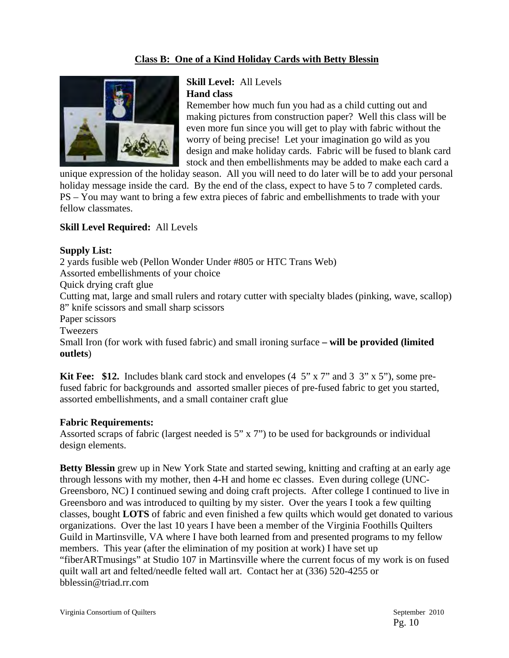## **Class B: One of a Kind Holiday Cards with Betty Blessin**



### **Skill Level:** All Levels **Hand class**

Remember how much fun you had as a child cutting out and making pictures from construction paper? Well this class will be even more fun since you will get to play with fabric without the worry of being precise! Let your imagination go wild as you design and make holiday cards. Fabric will be fused to blank card stock and then embellishments may be added to make each card a

unique expression of the holiday season. All you will need to do later will be to add your personal holiday message inside the card. By the end of the class, expect to have 5 to 7 completed cards. PS – You may want to bring a few extra pieces of fabric and embellishments to trade with your fellow classmates.

### **Skill Level Required:** All Levels

#### **Supply List:**

2 yards fusible web (Pellon Wonder Under #805 or HTC Trans Web) Assorted embellishments of your choice Quick drying craft glue Cutting mat, large and small rulers and rotary cutter with specialty blades (pinking, wave, scallop) 8" knife scissors and small sharp scissors Paper scissors **Tweezers** Small Iron (for work with fused fabric) and small ironing surface **– will be provided (limited outlets**)

**Kit Fee: \$12.** Includes blank card stock and envelopes (4 5" x 7" and 3 3" x 5"), some prefused fabric for backgrounds and assorted smaller pieces of pre-fused fabric to get you started, assorted embellishments, and a small container craft glue

#### **Fabric Requirements:**

Assorted scraps of fabric (largest needed is 5" x 7") to be used for backgrounds or individual design elements.

**Betty Blessin** grew up in New York State and started sewing, knitting and crafting at an early age through lessons with my mother, then 4-H and home ec classes. Even during college (UNC-Greensboro, NC) I continued sewing and doing craft projects. After college I continued to live in Greensboro and was introduced to quilting by my sister. Over the years I took a few quilting classes, bought **LOTS** of fabric and even finished a few quilts which would get donated to various organizations. Over the last 10 years I have been a member of the Virginia Foothills Quilters Guild in Martinsville, VA where I have both learned from and presented programs to my fellow members. This year (after the elimination of my position at work) I have set up "fiberARTmusings" at Studio 107 in Martinsville where the current focus of my work is on fused quilt wall art and felted/needle felted wall art. Contact her at (336) 520-4255 or bblessin@triad.rr.com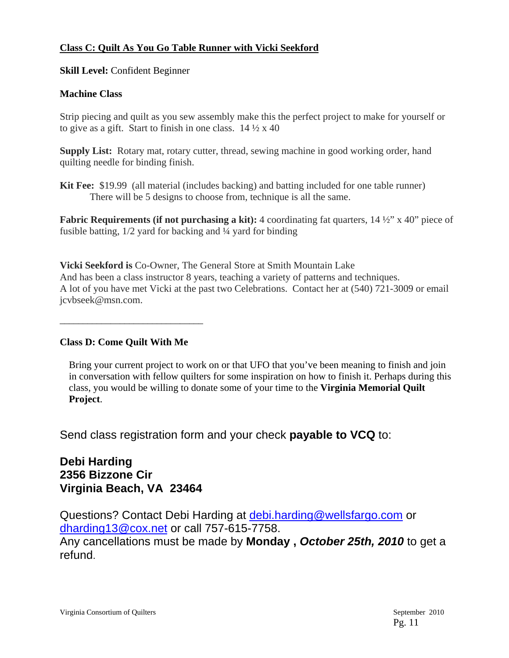### **Class C: Quilt As You Go Table Runner with Vicki Seekford**

**Skill Level: Confident Beginner** 

### **Machine Class**

Strip piecing and quilt as you sew assembly make this the perfect project to make for yourself or to give as a gift. Start to finish in one class.  $14\frac{1}{2} \times 40$ 

**Supply List:** Rotary mat, rotary cutter, thread, sewing machine in good working order, hand quilting needle for binding finish.

**Kit Fee:** \$19.99 (all material (includes backing) and batting included for one table runner) There will be 5 designs to choose from, technique is all the same.

**Fabric Requirements (if not purchasing a kit):** 4 coordinating fat quarters,  $14\frac{1}{2}$ " x 40" piece of fusible batting, 1/2 yard for backing and ¼ yard for binding

**Vicki Seekford is** Co-Owner, The General Store at Smith Mountain Lake And has been a class instructor 8 years, teaching a variety of patterns and techniques. A lot of you have met Vicki at the past two Celebrations. Contact her at (540) 721-3009 or email jcvbseek@msn.com.

\_\_\_\_\_\_\_\_\_\_\_\_\_\_\_\_\_\_\_\_\_\_\_\_\_\_\_\_\_\_\_

### **Class D: Come Quilt With Me**

Bring your current project to work on or that UFO that you've been meaning to finish and join in conversation with fellow quilters for some inspiration on how to finish it. Perhaps during this class, you would be willing to donate some of your time to the **Virginia Memorial Quilt Project**.

Send class registration form and your check **payable to VCQ** to:

## **Debi Harding 2356 Bizzone Cir Virginia Beach, VA 23464**

Questions? Contact Debi Harding at debi.harding@wellsfargo.com or dharding13@cox.net or call 757-615-7758.

Any cancellations must be made by **Monday ,** *October 25th, 2010* to get a refund.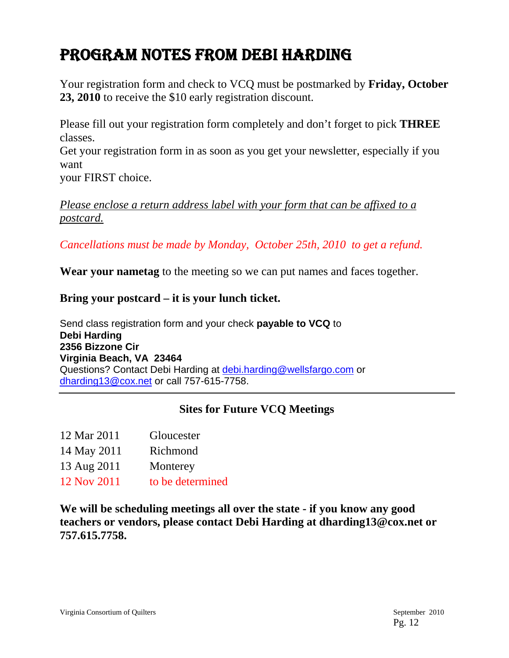## PROGRAM NOTES FROM DEBI HARDING

Your registration form and check to VCQ must be postmarked by **Friday, October 23, 2010** to receive the \$10 early registration discount.

Please fill out your registration form completely and don't forget to pick **THREE** classes.

Get your registration form in as soon as you get your newsletter, especially if you want

your FIRST choice.

*Please enclose a return address label with your form that can be affixed to a postcard.*

*Cancellations must be made by Monday, October 25th, 2010 to get a refund.* 

**Wear your nametag** to the meeting so we can put names and faces together.

**Bring your postcard – it is your lunch ticket.** 

Send class registration form and your check **payable to VCQ** to **Debi Harding 2356 Bizzone Cir Virginia Beach, VA 23464**  Questions? Contact Debi Harding at debi.harding@wellsfargo.com or dharding13@cox.net or call 757-615-7758.

## **Sites for Future VCQ Meetings**

- 14 May 2011 Richmond
- 13 Aug 2011 Monterey
- 12 Nov 2011 to be determined

**We will be scheduling meetings all over the state - if you know any good teachers or vendors, please contact Debi Harding at dharding13@cox.net or 757.615.7758.**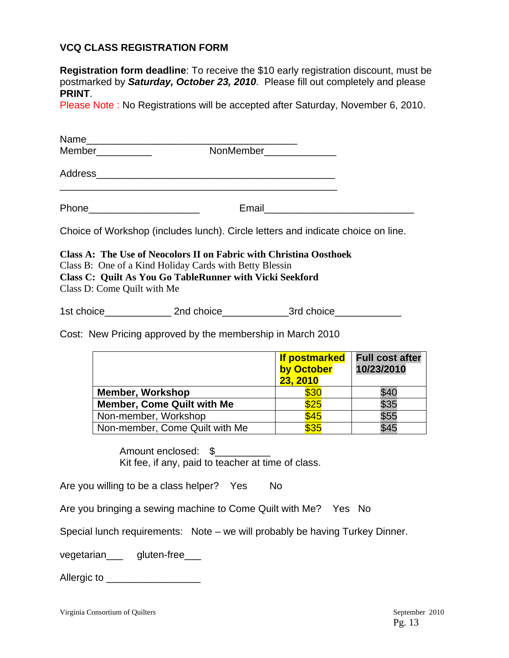### **VCQ CLASS REGISTRATION FORM**

**Registration form deadline**: To receive the \$10 early registration discount, must be postmarked by *Saturday, October 23, 2010*. Please fill out completely and please **PRINT**.

Please Note : No Registrations will be accepted after Saturday, November 6, 2010.

| Choice of Workshop (includes lunch). Circle letters and indicate choice on line.                                                                                                                                                                                                              |                                                |                                      |  |  |  |
|-----------------------------------------------------------------------------------------------------------------------------------------------------------------------------------------------------------------------------------------------------------------------------------------------|------------------------------------------------|--------------------------------------|--|--|--|
| Class A: The Use of Neocolors II on Fabric with Christina Oosthoek<br>Class B: One of a Kind Holiday Cards with Betty Blessin<br><b>Class C: Quilt As You Go TableRunner with Vicki Seekford</b><br>Class D: Come Quilt with Me<br>Cost: New Pricing approved by the membership in March 2010 |                                                |                                      |  |  |  |
|                                                                                                                                                                                                                                                                                               | <b>If postmarked</b><br>by October<br>23, 2010 | <b>Full cost after</b><br>10/23/2010 |  |  |  |
| <b>Member, Workshop</b>                                                                                                                                                                                                                                                                       | $\frac{1}{2}$ \$30                             | \$40                                 |  |  |  |
| <b>Member, Come Quilt with Me</b>                                                                                                                                                                                                                                                             | \$25                                           | \$35                                 |  |  |  |
| Non-member, Workshop                                                                                                                                                                                                                                                                          | \$45                                           | \$55                                 |  |  |  |
| Non-member, Come Quilt with Me                                                                                                                                                                                                                                                                | \$35                                           | \$45                                 |  |  |  |

Amount enclosed: \$ Kit fee, if any, paid to teacher at time of class.

Are you willing to be a class helper? Yes No

Are you bringing a sewing machine to Come Quilt with Me? Yes No

Special lunch requirements: Note – we will probably be having Turkey Dinner.

vegetarian\_\_\_\_ gluten-free\_\_\_

Allergic to \_\_\_\_\_\_\_\_\_\_\_\_\_\_\_\_\_